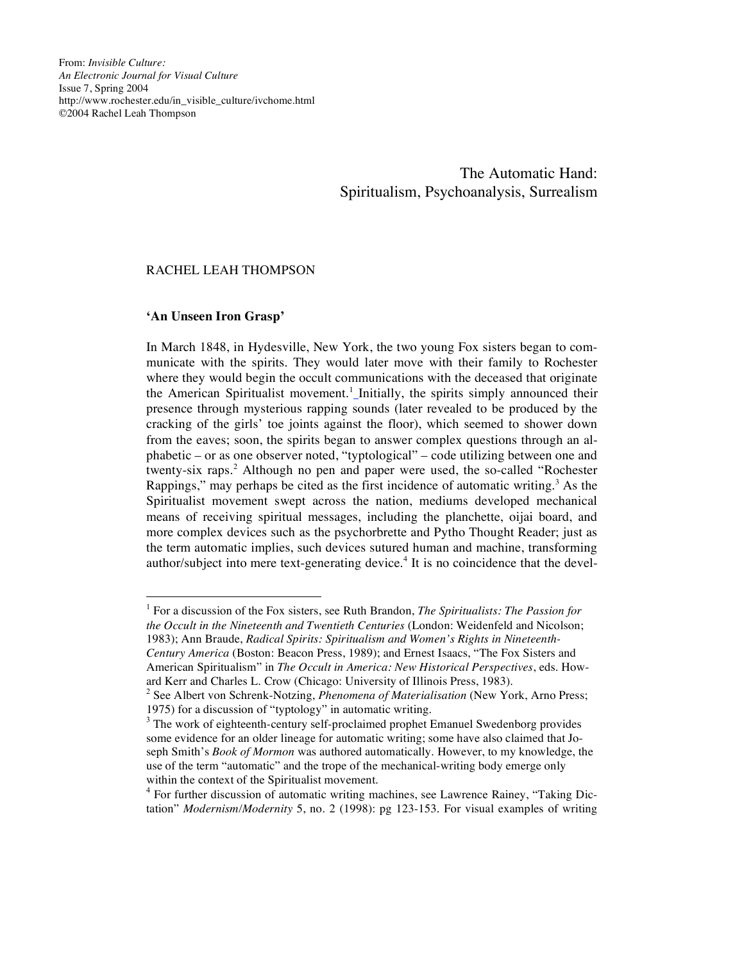From: *Invisible Culture: An Electronic Journal for Visual Culture* Issue 7, Spring 2004 http://www.rochester.edu/in\_visible\_culture/ivchome.html ©2004 Rachel Leah Thompson

> The Automatic Hand: Spiritualism, Psychoanalysis, Surrealism

## RACHEL LEAH THOMPSON

# **'An Unseen Iron Grasp'**

In March 1848, in Hydesville, New York, the two young Fox sisters began to communicate with the spirits. They would later move with their family to Rochester where they would begin the occult communications with the deceased that originate the American Spiritualist movement.<sup>1</sup>\_Initially, the spirits simply announced their presence through mysterious rapping sounds (later revealed to be produced by the cracking of the girls' toe joints against the floor), which seemed to shower down from the eaves; soon, the spirits began to answer complex questions through an alphabetic – or as one observer noted, "typtological" – code utilizing between one and twenty-six raps. <sup>2</sup> Although no pen and paper were used, the so-called "Rochester Rappings," may perhaps be cited as the first incidence of automatic writing.<sup>3</sup> As the Spiritualist movement swept across the nation, mediums developed mechanical means of receiving spiritual messages, including the planchette, oijai board, and more complex devices such as the psychorbrette and Pytho Thought Reader; just as the term automatic implies, such devices sutured human and machine, transforming author/subject into mere text-generating device.<sup>4</sup> It is no coincidence that the devel-

 1 For <sup>a</sup> discussion of the Fox sisters, see Ruth Brandon, *The Spiritualists: The Passion for the Occult in the Nineteenth and Twentieth Centuries* (London: Weidenfeld and Nicolson; 1983); Ann Braude, *Radical Spirits: Spiritualism and Women's Rights in Nineteenth-Century America* (Boston: Beacon Press, 1989); and Ernest Isaacs, "The Fox Sisters and American Spiritualism" in *The Occult in America: New Historical Perspectives*, eds. How-

ard Kerr and Charles L. Crow (Chicago: University of Illinois Press, 1983). <sup>2</sup> See Albert von Schrenk-Notzing, *Phenomena of Materialisation* (New York, Arno Press;

<sup>1975)</sup> for a discussion of "typtology" in automatic writing.<br> $3$  The work of eighteenth-century self-proclaimed prophet Emanuel Swedenborg provides some evidence for an older lineage for automatic writing; some have also claimed that Joseph Smith's *Book of Mormon* was authored automatically. However, to my knowledge, the use of the term "automatic" and the trope of the mechanical-writing body emerge only

 $4$  For further discussion of automatic writing machines, see Lawrence Rainey, "Taking Dictation" *Modernism/Modernity* 5, no. 2 (1998): pg 123-153. For visual examples of writing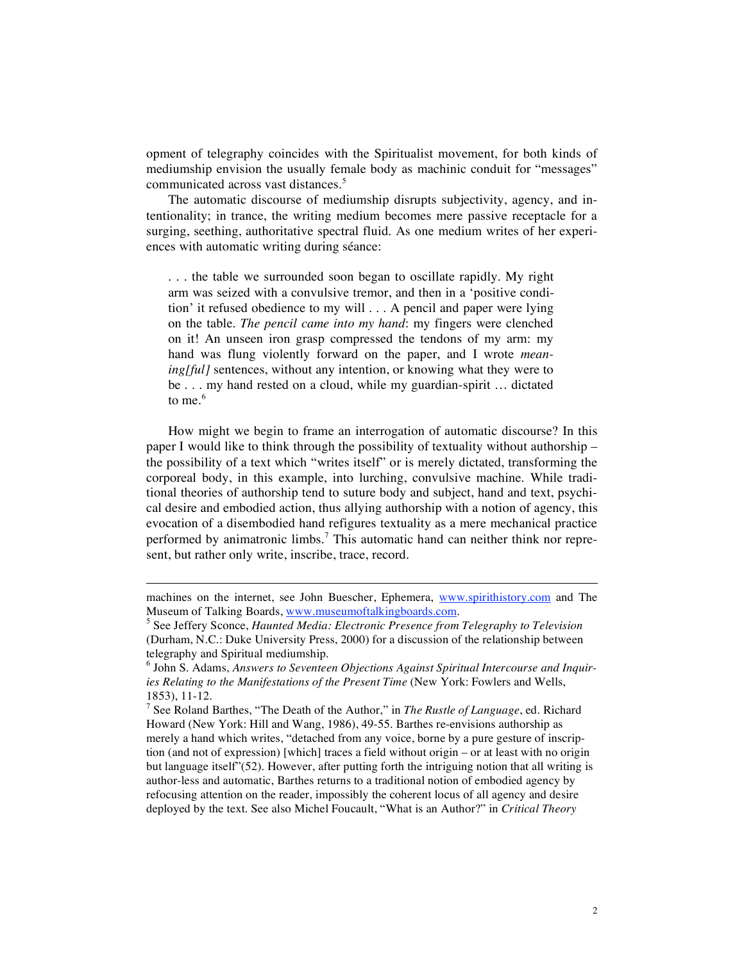opment of telegraphy coincides with the Spiritualist movement, for both kinds of mediumship envision the usually female body as machinic conduit for "messages" communicated across vast distances. 5

The automatic discourse of mediumship disrupts subjectivity, agency, and intentionality; in trance, the writing medium becomes mere passive receptacle for a surging, seething, authoritative spectral fluid. As one medium writes of her experiences with automatic writing during séance:

. . . the table we surrounded soon began to oscillate rapidly. My right arm was seized with a convulsive tremor, and then in a 'positive condition' it refused obedience to my will . . . A pencil and paper were lying on the table. *The pencil came into my hand*: my fingers were clenched on it! An unseen iron grasp compressed the tendons of my arm: my hand was flung violently forward on the paper, and I wrote *meaning[ful]* sentences, without any intention, or knowing what they were to be . . . my hand rested on a cloud, while my guardian-spirit … dictated to me. 6

How might we begin to frame an interrogation of automatic discourse? In this paper I would like to think through the possibility of textuality without authorship – the possibility of a text which "writes itself" or is merely dictated, transforming the corporeal body, in this example, into lurching, convulsive machine. While traditional theories of authorship tend to suture body and subject, hand and text, psychical desire and embodied action, thus allying authorship with a notion of agency, this evocation of a disembodied hand refigures textuality as a mere mechanical practice performed by animatronic limbs.<sup>7</sup> This automatic hand can neither think nor represent, but rather only write, inscribe, trace, record.

 $\overline{a}$ 

machines on the internet, see John Buescher, Ephemera, www.spirithistory.com and The Museum of Talking Boards, www.museumoftalkingboards.com. <sup>5</sup> See Jeffery Sconce, *Haunted Media: Electronic Presence from Telegraphy to Television*

<sup>(</sup>Durham, N.C.: Duke University Press, 2000) for a discussion of the relationship between telegraphy and Spiritual mediumship. <sup>6</sup> John S. Adams, *Answers to Seventeen Objections Against Spiritual Intercourse and Inquir-*

*ies Relating to the Manifestations of the Present Time* (New York: Fowlers and Wells,

<sup>&</sup>lt;sup>7</sup> See Roland Barthes, "The Death of the Author," in *The Rustle of Language*, ed. Richard Howard (New York: Hill and Wang, 1986), 49-55. Barthes re-envisions authorship as merely a hand which writes, "detached from any voice, borne by a pure gesture of inscription (and not of expression) [which] traces a field without origin – or at least with no origin but language itself"(52). However, after putting forth the intriguing notion that all writing is author-less and automatic, Barthes returns to a traditional notion of embodied agency by refocusing attention on the reader, impossibly the coherent locus of all agency and desire deployed by the text. See also Michel Foucault, "What is an Author?" in *Critical Theory*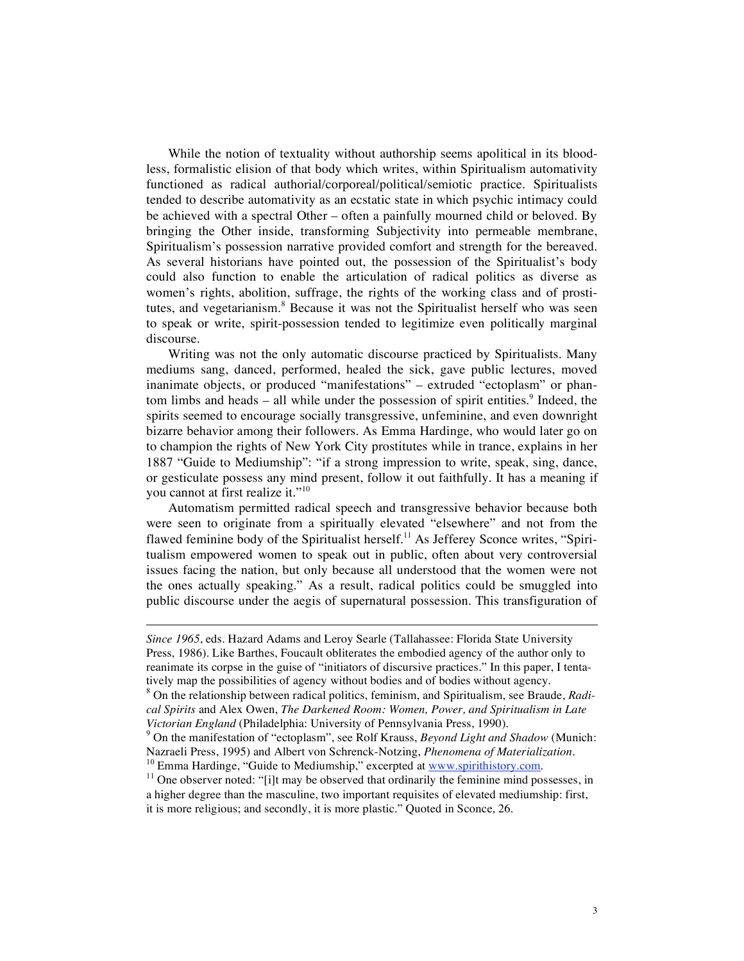While the notion of textuality without authorship seems apolitical in its bloodless, formalistic elision of that body which writes, within Spiritualism automativity functioned as radical authorial/corporeal/political/semiotic practice. Spiritualists tended to describe automativity as an ecstatic state in which psychic intimacy could be achieved with a spectral Other – often a painfully mourned child or beloved. By bringing the Other inside, transforming Subjectivity into permeable membrane, Spiritualism's possession narrative provided comfort and strength for the bereaved. As several historians have pointed out, the possession of the Spiritualist's body could also function to enable the articulation of radical politics as diverse as women's rights, abolition, suffrage, the rights of the working class and of prostitutes, and vegetarianism.<sup>8</sup> Because it was not the Spiritualist herself who was seen to speak or write, spirit-possession tended to legitimize even politically marginal discourse.

Writing was not the only automatic discourse practiced by Spiritualists. Many mediums sang, danced, performed, healed the sick, gave public lectures, moved inanimate objects, or produced "manifestations" – extruded "ectoplasm" or phantom limbs and heads – all while under the possession of spirit entities.<sup>9</sup> Indeed, the spirits seemed to encourage socially transgressive, unfeminine, and even downright bizarre behavior among their followers. As Emma Hardinge, who would later go on to champion the rights of New York City prostitutes while in trance, explains in her 1887 "Guide to Mediumship": "if a strong impression to write, speak, sing, dance, or gesticulate possess any mind present, follow it out faithfully. It has a meaning if you cannot at first realize it."<sup>10</sup>

Automatism permitted radical speech and transgressive behavior because both were seen to originate from a spiritually elevated "elsewhere" and not from the flawed feminine body of the Spiritualist herself.<sup>11</sup> As Jefferey Sconce writes, "Spiritualism empowered women to speak out in public, often about very controversial issues facing the nation, but only because all understood that the women were not the ones actually speaking." As a result, radical politics could be smuggled into public discourse under the aegis of supernatural possession. This transfiguration of

 $\overline{a}$ 

*Since 1965*, eds. Hazard Adams and Leroy Searle (Tallahassee: Florida State University Press, 1986). Like Barthes, Foucault obliterates the embodied agency of the author only to reanimate its corpse in the guise of "initiators of discursive practices." In this paper, I tentatively map the possibilities of agency without bodies and of bodies without agency. <sup>8</sup> On the relationship between radical politics, feminism, and Spiritualism, see Braude, *Radi-*

*cal Spirits* and Alex Owen, *The Darkened Room: Women, Power, and Spiritualism in Late*

*Victorian England* (Philadelphia: University of Pennsylvania Press, 1990).<br><sup>9</sup> On the manifestation of "ectoplasm", see Rolf Krauss, *Beyond Light and Shadow* (Munich: Nazraeli Press, 1995) and Albert von Schrenck-Notzing

<sup>&</sup>lt;sup>10</sup> Emma Hardinge, "Guide to Mediumship," excerpted at  $\frac{www.spirithistory.com}{www.sprinthistory.com}$ .<br><sup>11</sup> One observer noted: "[i]t may be observed that ordinarily the feminine mind possesses, in a higher degree than the masculine, two important requisites of elevated mediumship: first, it is more religious; and secondly, it is more plastic." Quoted in Sconce, 26.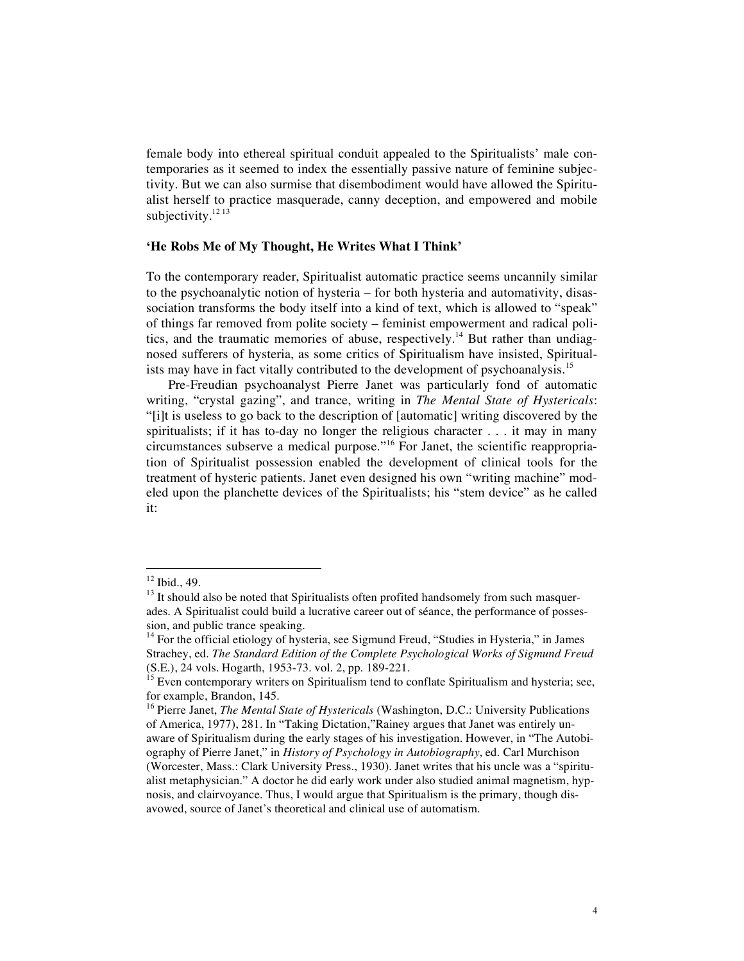female body into ethereal spiritual conduit appealed to the Spiritualists' male contemporaries as it seemed to index the essentially passive nature of feminine subjectivity. But we can also surmise that disembodiment would have allowed the Spiritualist herself to practice masquerade, canny deception, and empowered and mobile subjectivity.<sup>12 13</sup>

### **'He Robs Me of My Thought, He Writes What I Think'**

To the contemporary reader, Spiritualist automatic practice seems uncannily similar to the psychoanalytic notion of hysteria – for both hysteria and automativity, disassociation transforms the body itself into a kind of text, which is allowed to "speak" of things far removed from polite society – feminist empowerment and radical politics, and the traumatic memories of abuse, respectively.<sup>14</sup> But rather than undiagnosed sufferers of hysteria, as some critics of Spiritualism have insisted, Spiritualists may have in fact vitally contributed to the development of psychoanalysis.<sup>15</sup>

Pre-Freudian psychoanalyst Pierre Janet was particularly fond of automatic writing, "crystal gazing", and trance, writing in *The Mental State of Hystericals*: "[i]t is useless to go back to the description of [automatic] writing discovered by the spiritualists; if it has to-day no longer the religious character . . . it may in many circumstances subserve a medical purpose."<sup>16</sup> For Janet, the scientific reappropriation of Spiritualist possession enabled the development of clinical tools for the treatment of hysteric patients. Janet even designed his own "writing machine" modeled upon the planchette devices of the Spiritualists; his "stem device" as he called it:

<sup>&</sup>lt;sup>12</sup> Ibid., 49.<br><sup>13</sup> It should also be noted that Spiritualists often profited handsomely from such masquerades. A Spiritualist could build a lucrative career out of séance, the performance of possession, and public trance speaking.<br><sup>14</sup> For the official etiology of hysteria, see Sigmund Freud, "Studies in Hysteria," in James

Strachey, ed. *The Standard Edition of the Complete Psychological Works of Sigmund Freud*

 $\frac{15}{15}$  Even contemporary writers on Spiritualism tend to conflate Spiritualism and hysteria; see, for example, Brandon, 145. <sup>16</sup> Pierre Janet, *The Mental State of Hystericals* (Washington, D.C.: University Publications

of America, 1977), 281. In "Taking Dictation,"Rainey argues that Janet was entirely unaware of Spiritualism during the early stages of his investigation. However, in "The Autobiography of Pierre Janet," in *History of Psychology in Autobiography*, ed. Carl Murchison (Worcester, Mass.: Clark University Press., 1930). Janet writes that his uncle was a "spiritualist metaphysician." A doctor he did early work under also studied animal magnetism, hypnosis, and clairvoyance. Thus, I would argue that Spiritualism is the primary, though disavowed, source of Janet's theoretical and clinical use of automatism.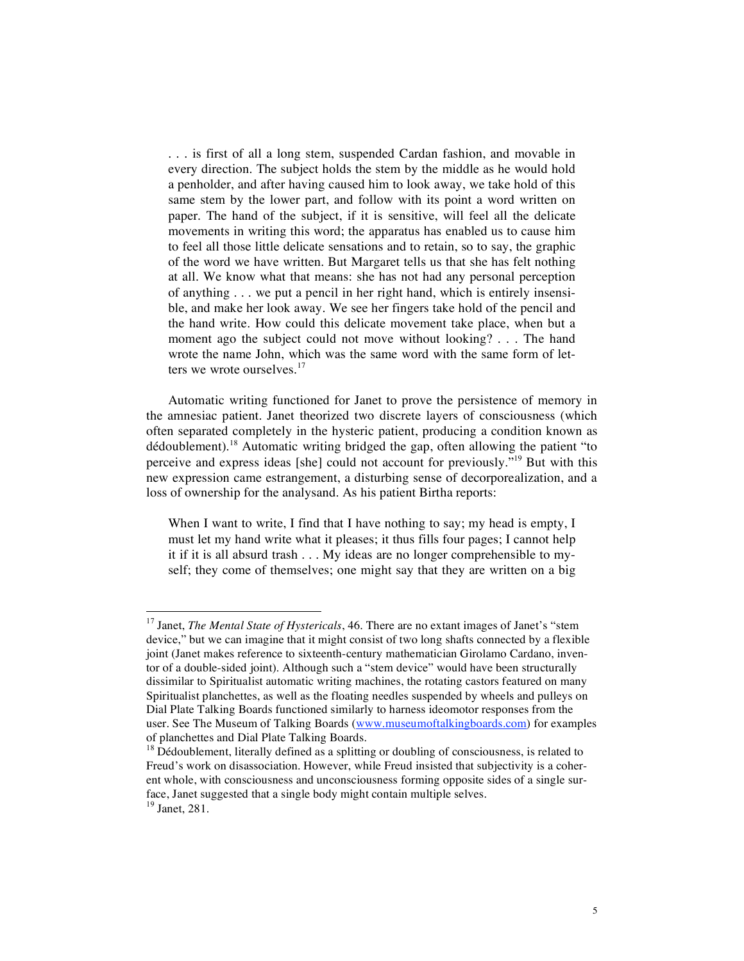. . . is first of all a long stem, suspended Cardan fashion, and movable in every direction. The subject holds the stem by the middle as he would hold a penholder, and after having caused him to look away, we take hold of this same stem by the lower part, and follow with its point a word written on paper. The hand of the subject, if it is sensitive, will feel all the delicate movements in writing this word; the apparatus has enabled us to cause him to feel all those little delicate sensations and to retain, so to say, the graphic of the word we have written. But Margaret tells us that she has felt nothing at all. We know what that means: she has not had any personal perception of anything . . . we put a pencil in her right hand, which is entirely insensible, and make her look away. We see her fingers take hold of the pencil and the hand write. How could this delicate movement take place, when but a moment ago the subject could not move without looking? . . . The hand wrote the name John, which was the same word with the same form of letters we wrote ourselves.<sup>17</sup>

Automatic writing functioned for Janet to prove the persistence of memory in the amnesiac patient. Janet theorized two discrete layers of consciousness (which often separated completely in the hysteric patient, producing a condition known as dédoublement).<sup>18</sup> Automatic writing bridged the gap, often allowing the patient "to perceive and express ideas [she] could not account for previously."<sup>19</sup> But with this new expression came estrangement, a disturbing sense of decorporealization, and a loss of ownership for the analysand. As his patient Birtha reports:

When I want to write, I find that I have nothing to say; my head is empty, I must let my hand write what it pleases; it thus fills four pages; I cannot help it if it is all absurd trash . . . My ideas are no longer comprehensible to myself; they come of themselves; one might say that they are written on a big

 <sup>17</sup> Janet, *The Mental State of Hystericals*, 46. There are no extant images of Janet's "stem device," but we can imagine that it might consist of two long shafts connected by a flexible joint (Janet makes reference to sixteenth-century mathematician Girolamo Cardano, inventor of a double-sided joint). Although such a "stem device" would have been structurally dissimilar to Spiritualist automatic writing machines, the rotating castors featured on many Spiritualist planchettes, as well as the floating needles suspended by wheels and pulleys on Dial Plate Talking Boards functioned similarly to harness ideomotor responses from the user. See The Museum of Talking Boards (www.museumoftalkingboards.com) for examples of planchettes and Dial Plate Talking Boards.<br><sup>18</sup> Dédoublement, literally defined as a splitting or doubling of consciousness, is related to

Freud's work on disassociation. However, while Freud insisted that subjectivity is a coherent whole, with consciousness and unconsciousness forming opposite sides of a single surface, Janet suggested that <sup>a</sup> single body might contain multiple selves. <sup>19</sup> Janet, 281.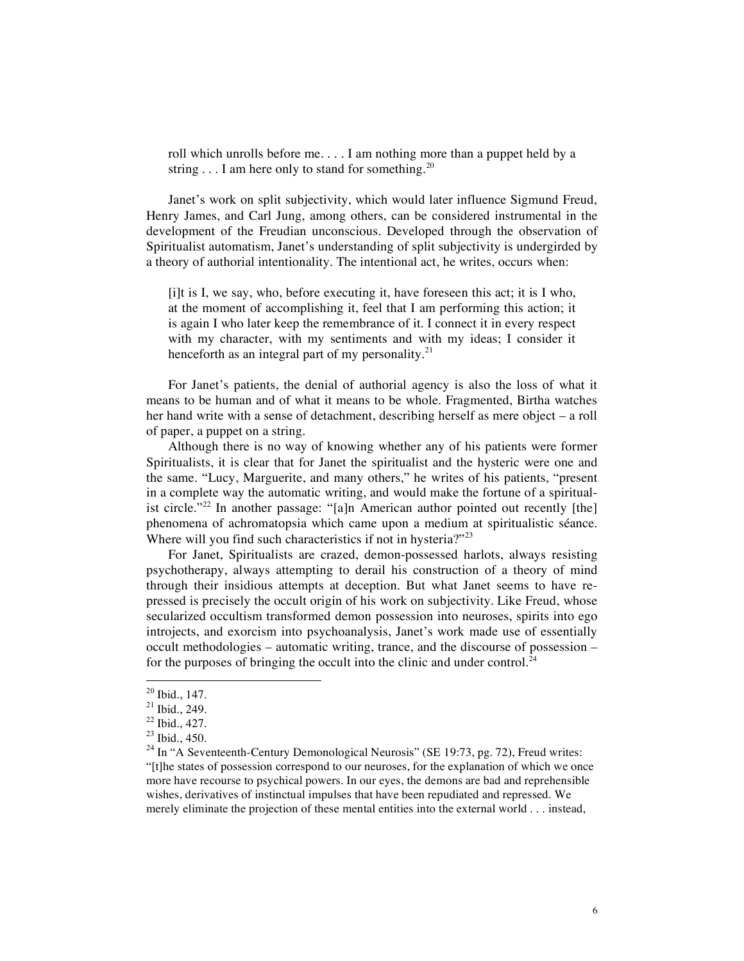roll which unrolls before me. . . . I am nothing more than a puppet held by a string  $\dots$  I am here only to stand for something.<sup>20</sup>

Janet's work on split subjectivity, which would later influence Sigmund Freud, Henry James, and Carl Jung, among others, can be considered instrumental in the development of the Freudian unconscious. Developed through the observation of Spiritualist automatism, Janet's understanding of split subjectivity is undergirded by a theory of authorial intentionality. The intentional act, he writes, occurs when:

[i]t is I, we say, who, before executing it, have foreseen this act; it is I who, at the moment of accomplishing it, feel that I am performing this action; it is again I who later keep the remembrance of it. I connect it in every respect with my character, with my sentiments and with my ideas; I consider it henceforth as an integral part of my personality.<sup>21</sup>

For Janet's patients, the denial of authorial agency is also the loss of what it means to be human and of what it means to be whole. Fragmented, Birtha watches her hand write with a sense of detachment, describing herself as mere object – a roll of paper, a puppet on a string.

Although there is no way of knowing whether any of his patients were former Spiritualists, it is clear that for Janet the spiritualist and the hysteric were one and the same. "Lucy, Marguerite, and many others," he writes of his patients, "present in a complete way the automatic writing, and would make the fortune of a spiritualist circle."<sup>22</sup> In another passage: "[a]n American author pointed out recently [the] phenomena of achromatopsia which came upon a medium at spiritualistic séance. Where will you find such characteristics if not in hysteria?"<sup>23</sup>

For Janet, Spiritualists are crazed, demon-possessed harlots, always resisting psychotherapy, always attempting to derail his construction of a theory of mind through their insidious attempts at deception. But what Janet seems to have repressed is precisely the occult origin of his work on subjectivity. Like Freud, whose secularized occultism transformed demon possession into neuroses, spirits into ego introjects, and exorcism into psychoanalysis, Janet's work made use of essentially occult methodologies – automatic writing, trance, and the discourse of possession – for the purposes of bringing the occult into the clinic and under control.<sup>24</sup>

<sup>&</sup>lt;sup>20</sup> Ibid., 147.<br><sup>21</sup> Ibid., 249.<br><sup>22</sup> Ibid., 427.<br><sup>23</sup> Ibid., 450.<br><sup>24</sup> In "A Seventeenth-Century Demonological Neurosis" (SE 19:73, pg. 72), Freud writes: "[t]he states of possession correspond to our neuroses, for the explanation of which we once more have recourse to psychical powers. In our eyes, the demons are bad and reprehensible wishes, derivatives of instinctual impulses that have been repudiated and repressed. We merely eliminate the projection of these mental entities into the external world . . . instead,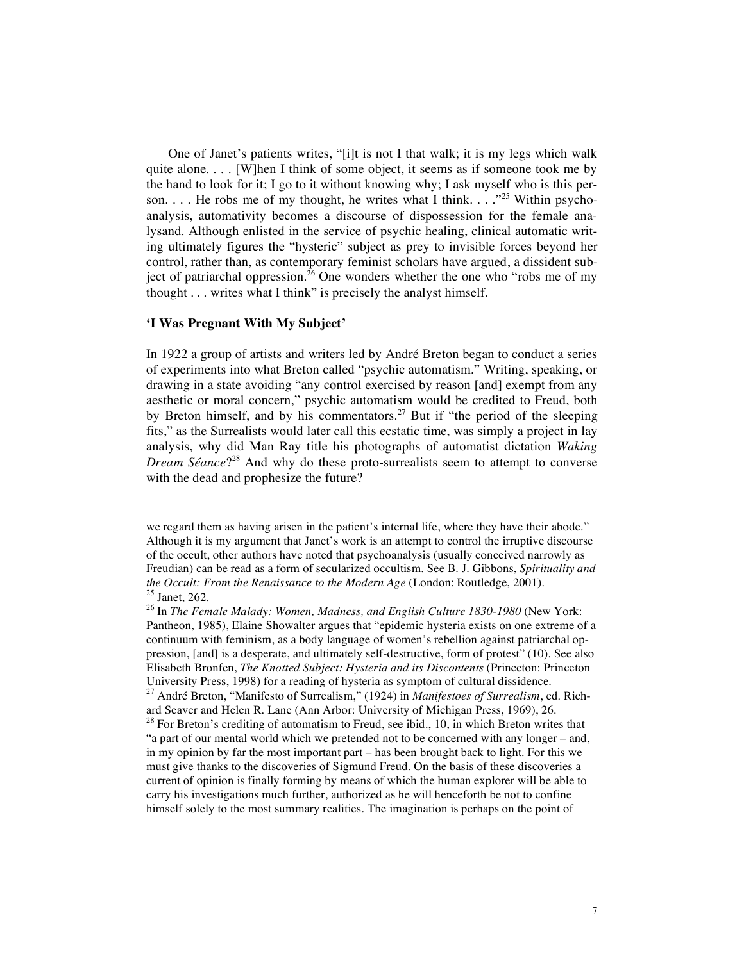One of Janet's patients writes, "[i]t is not I that walk; it is my legs which walk quite alone.  $\ldots$  [W]hen I think of some object, it seems as if someone took me by the hand to look for it; I go to it without knowing why; I ask myself who is this person.  $\ldots$  He robs me of my thought, he writes what I think.  $\ldots$ <sup>25</sup> Within psychoanalysis, automativity becomes a discourse of dispossession for the female analysand. Although enlisted in the service of psychic healing, clinical automatic writing ultimately figures the "hysteric" subject as prey to invisible forces beyond her control, rather than, as contemporary feminist scholars have argued, a dissident subject of patriarchal oppression.<sup>26</sup> One wonders whether the one who "robs me of my thought . . . writes what I think" is precisely the analyst himself.

## **'I Was Pregnant With My Subject'**

 $\overline{a}$ 

In 1922 a group of artists and writers led by André Breton began to conduct a series of experiments into what Breton called "psychic automatism." Writing, speaking, or drawing in a state avoiding "any control exercised by reason [and] exempt from any aesthetic or moral concern," psychic automatism would be credited to Freud, both by Breton himself, and by his commentators.<sup>27</sup> But if "the period of the sleeping fits," as the Surrealists would later call this ecstatic time, was simply a project in lay analysis, why did Man Ray title his photographs of automatist dictation *Waking Dream Séance*?<sup>28</sup> And why do these proto-surrealists seem to attempt to converse with the dead and prophesize the future?

we regard them as having arisen in the patient's internal life, where they have their abode." Although it is my argument that Janet's work is an attempt to control the irruptive discourse of the occult, other authors have noted that psychoanalysis (usually conceived narrowly as Freudian) can be read as a form of secularized occultism. See B. J. Gibbons, *Spirituality and the Occult: From the Renaissance to the Modern Age* (London: Routledge, 2001).<br><sup>25</sup> Janet, 262.<br><sup>26</sup> In *The Female Malady: Women, Madness, and English Culture 1830-1980* (New York:

Pantheon, 1985), Elaine Showalter argues that "epidemic hysteria exists on one extreme of a continuum with feminism, as a body language of women's rebellion against patriarchal oppression, [and] is a desperate, and ultimately self-destructive, form of protest" (10). See also Elisabeth Bronfen, *The Knotted Subject: Hysteria and its Discontents* (Princeton: Princeton

<sup>&</sup>lt;sup>27</sup> André Breton, "Manifesto of Surrealism," (1924) in *Manifestoes of Surrealism*, ed. Rich-<br>ard Seaver and Helen R. Lane (Ann Arbor: University of Michigan Press, 1969), 26.

 $28$  For Breton's crediting of automatism to Freud, see ibid., 10, in which Breton writes that "a part of our mental world which we pretended not to be concerned with any longer – and, in my opinion by far the most important part – has been brought back to light. For this we must give thanks to the discoveries of Sigmund Freud. On the basis of these discoveries a current of opinion is finally forming by means of which the human explorer will be able to carry his investigations much further, authorized as he will henceforth be not to confine himself solely to the most summary realities. The imagination is perhaps on the point of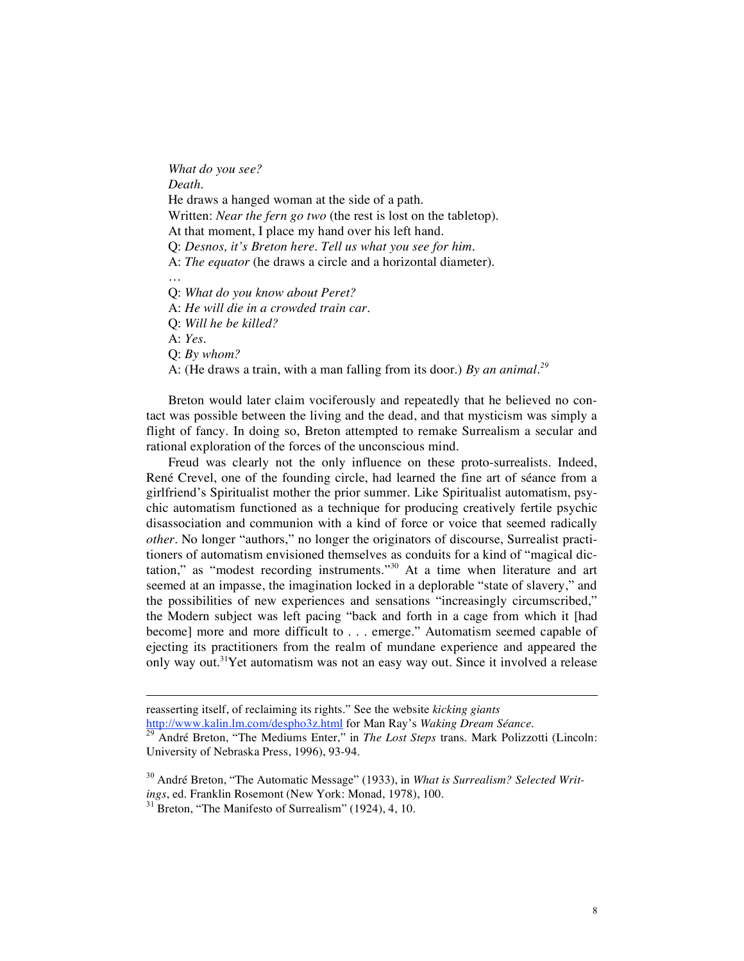*What do you see? Death.* He draws a hanged woman at the side of a path. Written: *Near the fern go two* (the rest is lost on the tabletop). At that moment, I place my hand over his left hand. Q: *Desnos, it's Breton here. Tell us what you see for him*. A: *The equator* (he draws a circle and a horizontal diameter). … Q: *What do you know about Peret?* A: *He will die in a crowded train car.* Q: *Will he be killed?* A: *Yes.*

Q: *By whom?*

 $\overline{a}$ 

A: (He draws a train, with a man falling from its door.) *By an animal. 29*

Breton would later claim vociferously and repeatedly that he believed no contact was possible between the living and the dead, and that mysticism was simply a flight of fancy. In doing so, Breton attempted to remake Surrealism a secular and rational exploration of the forces of the unconscious mind.

Freud was clearly not the only influence on these proto-surrealists. Indeed, René Crevel, one of the founding circle, had learned the fine art of séance from a girlfriend's Spiritualist mother the prior summer. Like Spiritualist automatism, psychic automatism functioned as a technique for producing creatively fertile psychic disassociation and communion with a kind of force or voice that seemed radically *other*. No longer "authors," no longer the originators of discourse, Surrealist practitioners of automatism envisioned themselves as conduits for a kind of "magical dictation," as "modest recording instruments."<sup>30</sup> At a time when literature and art seemed at an impasse, the imagination locked in a deplorable "state of slavery," and the possibilities of new experiences and sensations "increasingly circumscribed," the Modern subject was left pacing "back and forth in a cage from which it [had become] more and more difficult to . . . emerge." Automatism seemed capable of ejecting its practitioners from the realm of mundane experience and appeared the only way out.<sup>31</sup>Yet automatism was not an easy way out. Since it involved a release

reasserting itself, of reclaiming its rights." See the website *kicking giants*

http://www.kalin.lm.com/desphosiz.html for Man Ray's *Dreaman Communication* **Seance** *Steps* trans. Mark Polizzotti (Lincoln: University of Nebraska Press, 1996), 93-94.

<sup>&</sup>lt;sup>30</sup> André Breton, "The Automatic Message" (1933), in *What is Surrealism? Selected Writ-*<br>*ings*, ed. Franklin Rosemont (New York: Monad, 1978), 100.

<sup>&</sup>lt;sup>31</sup> Breton, "The Manifesto of Surrealism" (1924), 4, 10.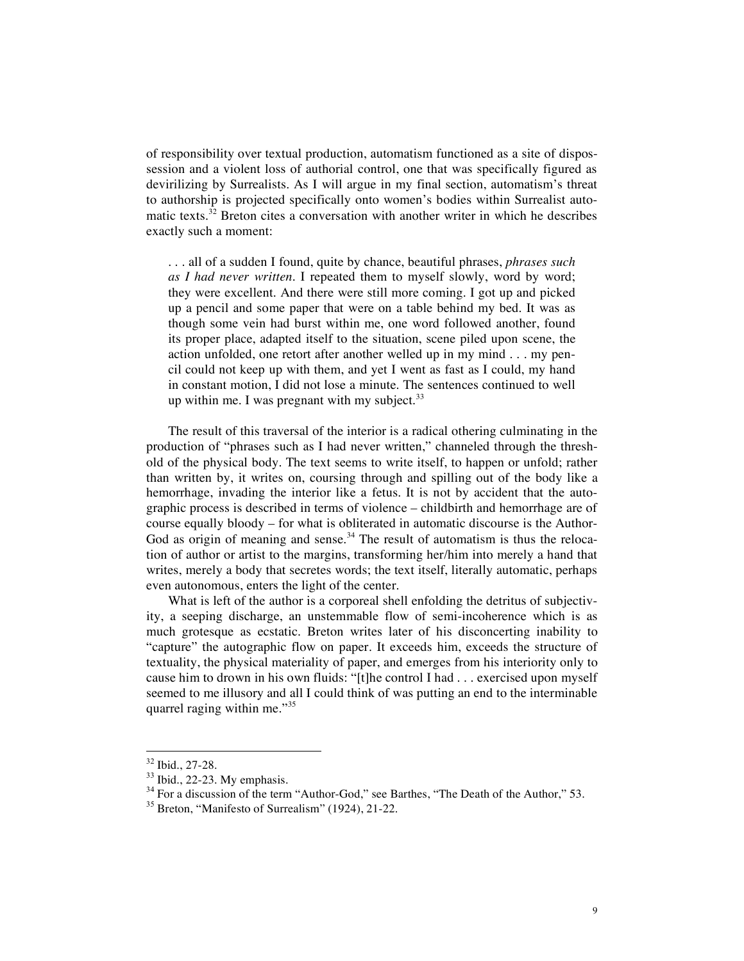of responsibility over textual production, automatism functioned as a site of dispossession and a violent loss of authorial control, one that was specifically figured as devirilizing by Surrealists. As I will argue in my final section, automatism's threat to authorship is projected specifically onto women's bodies within Surrealist automatic texts.<sup>32</sup> Breton cites a conversation with another writer in which he describes exactly such a moment:

. . . all of a sudden I found, quite by chance, beautiful phrases, *phrases such as I had never written*. I repeated them to myself slowly, word by word; they were excellent. And there were still more coming. I got up and picked up a pencil and some paper that were on a table behind my bed. It was as though some vein had burst within me, one word followed another, found its proper place, adapted itself to the situation, scene piled upon scene, the action unfolded, one retort after another welled up in my mind . . . my pencil could not keep up with them, and yet I went as fast as I could, my hand in constant motion, I did not lose a minute. The sentences continued to well up within me. I was pregnant with my subject.<sup>33</sup>

The result of this traversal of the interior is a radical othering culminating in the production of "phrases such as I had never written," channeled through the threshold of the physical body. The text seems to write itself, to happen or unfold; rather than written by, it writes on, coursing through and spilling out of the body like a hemorrhage, invading the interior like a fetus. It is not by accident that the autographic process is described in terms of violence – childbirth and hemorrhage are of course equally bloody – for what is obliterated in automatic discourse is the Author-God as origin of meaning and sense. $34$  The result of automatism is thus the relocation of author or artist to the margins, transforming her/him into merely a hand that writes, merely a body that secretes words; the text itself, literally automatic, perhaps even autonomous, enters the light of the center.

What is left of the author is a corporeal shell enfolding the detritus of subjectivity, a seeping discharge, an unstemmable flow of semi-incoherence which is as much grotesque as ecstatic. Breton writes later of his disconcerting inability to "capture" the autographic flow on paper. It exceeds him, exceeds the structure of textuality, the physical materiality of paper, and emerges from his interiority only to cause him to drown in his own fluids: "[t]he control I had . . . exercised upon myself seemed to me illusory and all I could think of was putting an end to the interminable quarrel raging within me."<sup>35</sup>

<sup>&</sup>lt;sup>32</sup> Ibid., 27-28.<br><sup>33</sup> Ibid., 22-23. My emphasis.<br><sup>34</sup> For a discussion of the term "Author-God," see Barthes, "The Death of the Author," 53.<br><sup>35</sup> Breton, "Manifesto of Surrealism" (1924), 21-22.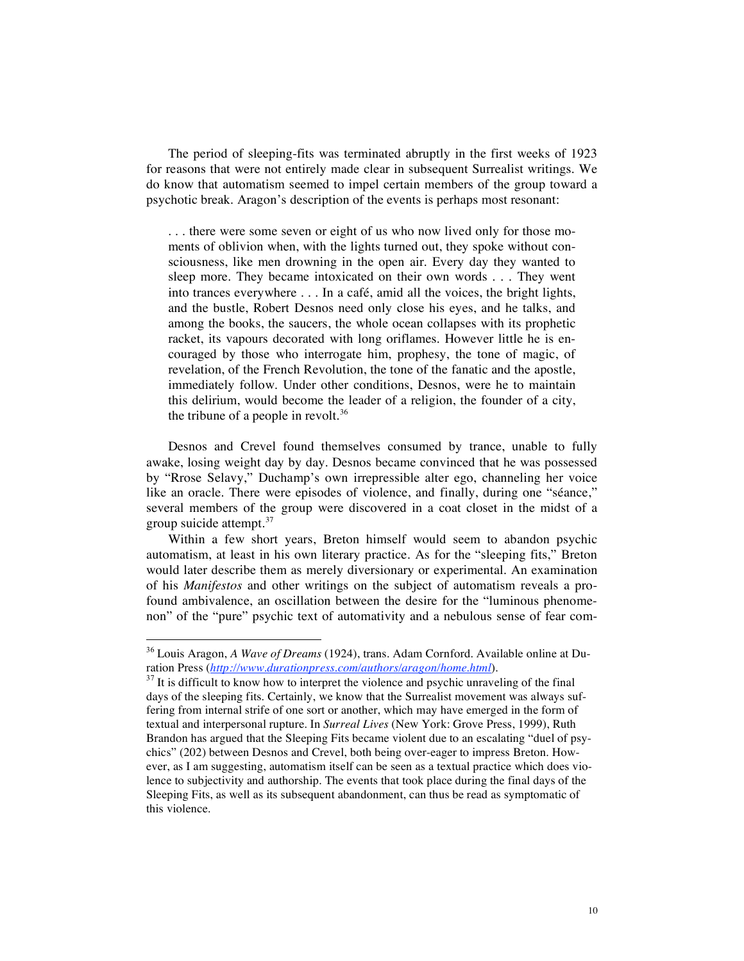The period of sleeping-fits was terminated abruptly in the first weeks of 1923 for reasons that were not entirely made clear in subsequent Surrealist writings. We do know that automatism seemed to impel certain members of the group toward a psychotic break. Aragon's description of the events is perhaps most resonant:

. . . there were some seven or eight of us who now lived only for those moments of oblivion when, with the lights turned out, they spoke without consciousness, like men drowning in the open air. Every day they wanted to sleep more. They became intoxicated on their own words . . . They went into trances everywhere . . . In a café, amid all the voices, the bright lights, and the bustle, Robert Desnos need only close his eyes, and he talks, and among the books, the saucers, the whole ocean collapses with its prophetic racket, its vapours decorated with long oriflames. However little he is encouraged by those who interrogate him, prophesy, the tone of magic, of revelation, of the French Revolution, the tone of the fanatic and the apostle, immediately follow. Under other conditions, Desnos, were he to maintain this delirium, would become the leader of a religion, the founder of a city, the tribune of a people in revolt.<sup>36</sup>

Desnos and Crevel found themselves consumed by trance, unable to fully awake, losing weight day by day. Desnos became convinced that he was possessed by "Rrose Selavy," Duchamp's own irrepressible alter ego, channeling her voice like an oracle. There were episodes of violence, and finally, during one "séance," several members of the group were discovered in a coat closet in the midst of a group suicide attempt. 37

Within a few short years, Breton himself would seem to abandon psychic automatism, at least in his own literary practice. As for the "sleeping fits," Breton would later describe them as merely diversionary or experimental. An examination of his *Manifestos* and other writings on the subject of automatism reveals a profound ambivalence, an oscillation between the desire for the "luminous phenomenon" of the "pure" psychic text of automativity and a nebulous sense of fear com-

<sup>&</sup>lt;sup>36</sup> Louis Aragon, *A Wave of Dreams* (1924), trans. Adam Cornford. Available online at Duration Press (*http://www.durationpress.com/authors/aragon/home.html*).

<sup>&</sup>lt;sup>37</sup> It is difficult to know how to interpret the violence and psychic unraveling of the final days of the sleeping fits. Certainly, we know that the Surrealist movement was always suffering from internal strife of one sort or another, which may have emerged in the form of textual and interpersonal rupture. In *Surreal Lives* (New York: Grove Press, 1999), Ruth Brandon has argued that the Sleeping Fits became violent due to an escalating "duel of psychics" (202) between Desnos and Crevel, both being over-eager to impress Breton. However, as I am suggesting, automatism itself can be seen as a textual practice which does violence to subjectivity and authorship. The events that took place during the final days of the Sleeping Fits, as well as its subsequent abandonment, can thus be read as symptomatic of this violence.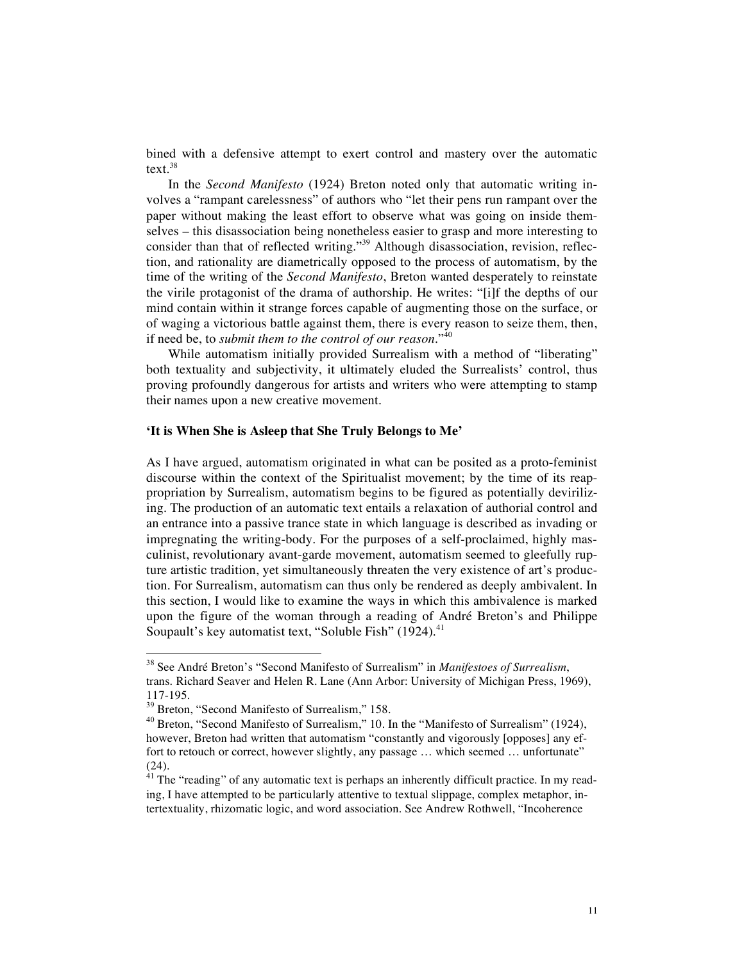bined with a defensive attempt to exert control and mastery over the automatic text. 38

In the *Second Manifesto* (1924) Breton noted only that automatic writing involves a "rampant carelessness" of authors who "let their pens run rampant over the paper without making the least effort to observe what was going on inside themselves – this disassociation being nonetheless easier to grasp and more interesting to consider than that of reflected writing."<sup>39</sup> Although disassociation, revision, reflection, and rationality are diametrically opposed to the process of automatism, by the time of the writing of the *Second Manifesto*, Breton wanted desperately to reinstate the virile protagonist of the drama of authorship. He writes: "[i]f the depths of our mind contain within it strange forces capable of augmenting those on the surface, or of waging a victorious battle against them, there is every reason to seize them, then, if need be, to *submit them to the control of our reason*."<sup>40</sup>

While automatism initially provided Surrealism with a method of "liberating" both textuality and subjectivity, it ultimately eluded the Surrealists' control, thus proving profoundly dangerous for artists and writers who were attempting to stamp their names upon a new creative movement.

### **'It is When She is Asleep that She Truly Belongs to Me'**

As I have argued, automatism originated in what can be posited as a proto-feminist discourse within the context of the Spiritualist movement; by the time of its reappropriation by Surrealism, automatism begins to be figured as potentially devirilizing. The production of an automatic text entails a relaxation of authorial control and an entrance into a passive trance state in which language is described as invading or impregnating the writing-body. For the purposes of a self-proclaimed, highly masculinist, revolutionary avant-garde movement, automatism seemed to gleefully rupture artistic tradition, yet simultaneously threaten the very existence of art's production. For Surrealism, automatism can thus only be rendered as deeply ambivalent. In this section, I would like to examine the ways in which this ambivalence is marked upon the figure of the woman through a reading of André Breton's and Philippe Soupault's key automatist text, "Soluble Fish"  $(1924)$ .<sup>41</sup>

 <sup>38</sup> See André Breton's "Second Manifesto of Surrealism" in *Manifestoes of Surrealism*, trans. Richard Seaver and Helen R. Lane (Ann Arbor: University of Michigan Press, 1969),

<sup>117-195.&</sup>lt;br><sup>39</sup> Breton, "Second Manifesto of Surrealism," 158.<br><sup>40</sup> Breton, "Second Manifesto of Surrealism," 10. In the "Manifesto of Surrealism" (1924), however, Breton had written that automatism "constantly and vigorously [opposes] any effort to retouch or correct, however slightly, any passage … which seemed … unfortunate" (24).<br> $41$  The "reading" of any automatic text is perhaps an inherently difficult practice. In my read-

ing, I have attempted to be particularly attentive to textual slippage, complex metaphor, intertextuality, rhizomatic logic, and word association. See Andrew Rothwell, "Incoherence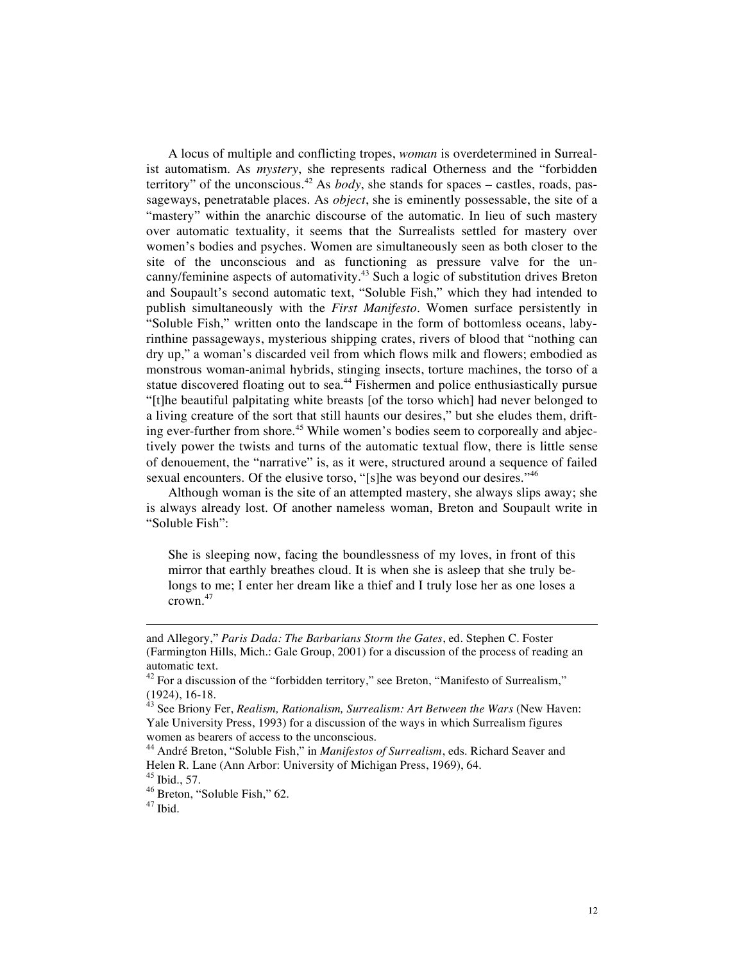A locus of multiple and conflicting tropes, *woman* is overdetermined in Surrealist automatism. As *mystery*, she represents radical Otherness and the "forbidden territory" of the unconscious. <sup>42</sup> As *body*, she stands for spaces – castles, roads, passageways, penetratable places. As *object*, she is eminently possessable, the site of a "mastery" within the anarchic discourse of the automatic. In lieu of such mastery over automatic textuality, it seems that the Surrealists settled for mastery over women's bodies and psyches. Women are simultaneously seen as both closer to the site of the unconscious and as functioning as pressure valve for the uncanny/feminine aspects of automativity. <sup>43</sup> Such a logic of substitution drives Breton and Soupault's second automatic text, "Soluble Fish," which they had intended to publish simultaneously with the *First Manifesto*. Women surface persistently in "Soluble Fish," written onto the landscape in the form of bottomless oceans, labyrinthine passageways, mysterious shipping crates, rivers of blood that "nothing can dry up," a woman's discarded veil from which flows milk and flowers; embodied as monstrous woman-animal hybrids, stinging insects, torture machines, the torso of a statue discovered floating out to sea.<sup>44</sup> Fishermen and police enthusiastically pursue "[t]he beautiful palpitating white breasts [of the torso which] had never belonged to a living creature of the sort that still haunts our desires," but she eludes them, drifting ever-further from shore.<sup>45</sup> While women's bodies seem to corporeally and abjectively power the twists and turns of the automatic textual flow, there is little sense of denouement, the "narrative" is, as it were, structured around a sequence of failed sexual encounters. Of the elusive torso, "[s]he was beyond our desires."<sup>46</sup>

Although woman is the site of an attempted mastery, she always slips away; she is always already lost. Of another nameless woman, Breton and Soupault write in "Soluble Fish":

She is sleeping now, facing the boundlessness of my loves, in front of this mirror that earthly breathes cloud. It is when she is asleep that she truly belongs to me; I enter her dream like a thief and I truly lose her as one loses a crown. 47

 $\overline{a}$ 

and Allegory," *Paris Dada: The Barbarians Storm the Gates*, ed. Stephen C. Foster (Farmington Hills, Mich.: Gale Group, 2001) for a discussion of the process of reading an

automatic text.<br><sup>42</sup> For a discussion of the "forbidden territory," see Breton, "Manifesto of Surrealism,"<br>(1924), 16-18.

<sup>(1924),</sup> 16-18. <sup>43</sup> See Briony Fer, *Realism, Rationalism, Surrealism: Art Between the Wars* (New Haven: Yale University Press, 1993) for a discussion of the ways in which Surrealism figures

<sup>&</sup>lt;sup>44</sup> André Breton, "Soluble Fish," in *Manifestos of Surrealism*, eds. Richard Seaver and Helen R. Lane (Ann Arbor: University of Michigan Press, 1969), 64.<br><sup>45</sup> Ibid., 57.<br><sup>46</sup> Breton, "Soluble Fish," 62.<br><sup>47</sup> Ibid.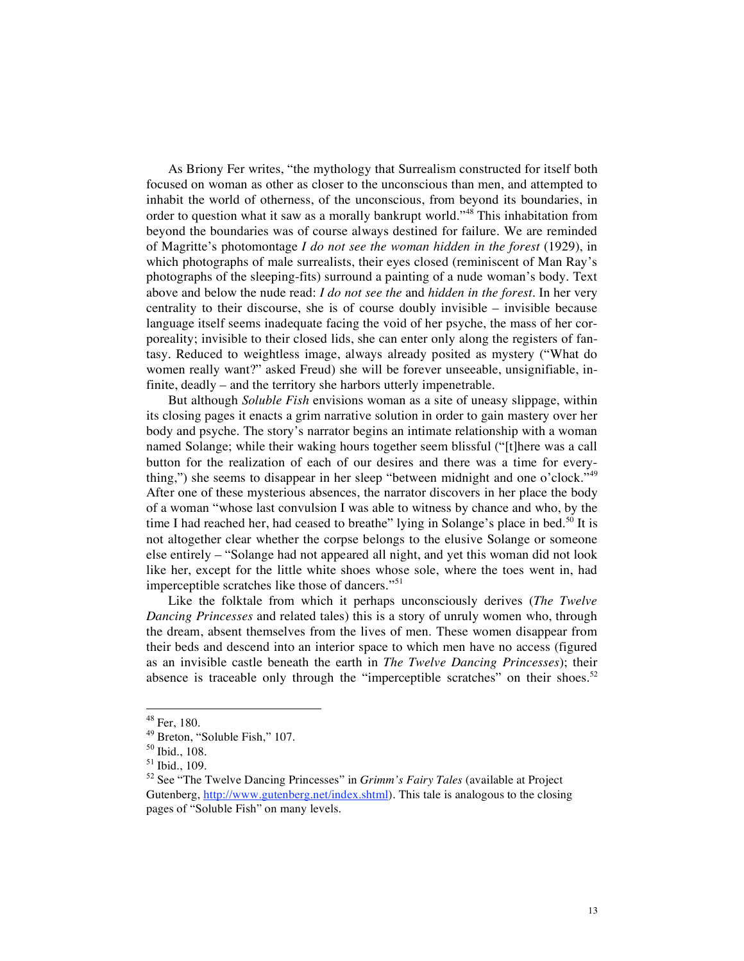As Briony Fer writes, "the mythology that Surrealism constructed for itself both focused on woman as other as closer to the unconscious than men, and attempted to inhabit the world of otherness, of the unconscious, from beyond its boundaries, in order to question what it saw as a morally bankrupt world."<sup>48</sup> This inhabitation from beyond the boundaries was of course always destined for failure. We are reminded of Magritte's photomontage *I do not see the woman hidden in the forest* (1929), in which photographs of male surrealists, their eyes closed (reminiscent of Man Ray's photographs of the sleeping-fits) surround a painting of a nude woman's body. Text above and below the nude read: *I do not see the* and *hidden in the forest*. In her very centrality to their discourse, she is of course doubly invisible – invisible because language itself seems inadequate facing the void of her psyche, the mass of her corporeality; invisible to their closed lids, she can enter only along the registers of fantasy. Reduced to weightless image, always already posited as mystery ("What do women really want?" asked Freud) she will be forever unseeable, unsignifiable, infinite, deadly – and the territory she harbors utterly impenetrable.

But although *Soluble Fish* envisions woman as a site of uneasy slippage, within its closing pages it enacts a grim narrative solution in order to gain mastery over her body and psyche. The story's narrator begins an intimate relationship with a woman named Solange; while their waking hours together seem blissful ("[t]here was a call button for the realization of each of our desires and there was a time for everything,") she seems to disappear in her sleep "between midnight and one o'clock."<sup>49</sup> After one of these mysterious absences, the narrator discovers in her place the body of a woman "whose last convulsion I was able to witness by chance and who, by the time I had reached her, had ceased to breathe" lying in Solange's place in bed.<sup>50</sup> It is not altogether clear whether the corpse belongs to the elusive Solange or someone else entirely – "Solange had not appeared all night, and yet this woman did not look like her, except for the little white shoes whose sole, where the toes went in, had imperceptible scratches like those of dancers."<sup>51</sup>

Like the folktale from which it perhaps unconsciously derives (*The Twelve Dancing Princesses* and related tales) this is a story of unruly women who, through the dream, absent themselves from the lives of men. These women disappear from their beds and descend into an interior space to which men have no access (figured as an invisible castle beneath the earth in *The Twelve Dancing Princesses*); their absence is traceable only through the "imperceptible scratches" on their shoes.<sup>52</sup>

<sup>&</sup>lt;sup>48</sup> Fer, 180.<br><sup>49</sup> Breton, "Soluble Fish," 107.<br><sup>50</sup> Ibid., 108.<br><sup>51</sup> Ibid., 109.<br><sup>52</sup> See "The Twelve Dancing Princesses" in *Grimm's Fairy Tales* (available at Project Gutenberg, http://www.gutenberg.net/index.shtml). This tale is analogous to the closing pages of "Soluble Fish" on many levels.